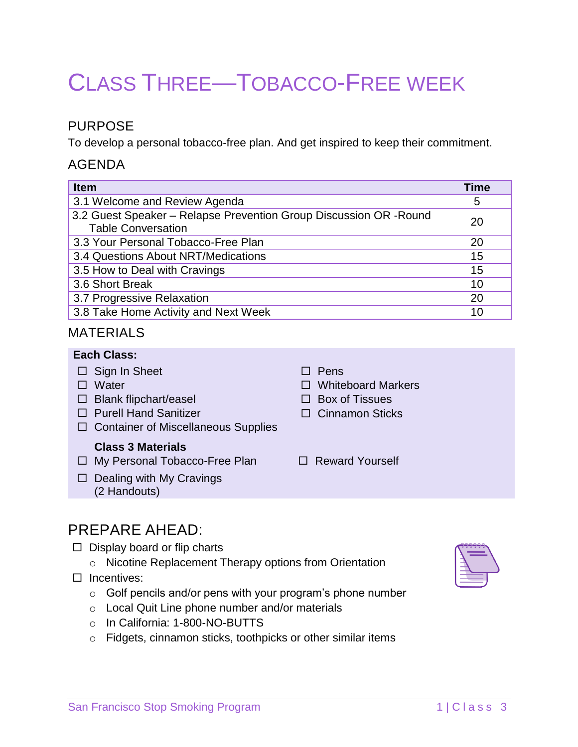# CLASS THREE—TOBACCO-FREE WEEK

## PURPOSE

To develop a personal tobacco-free plan. And get inspired to keep their commitment.

## AGENDA

| <b>Item</b>                                                                                     | <b>Time</b> |
|-------------------------------------------------------------------------------------------------|-------------|
| 3.1 Welcome and Review Agenda                                                                   | 5           |
| 3.2 Guest Speaker - Relapse Prevention Group Discussion OR - Round<br><b>Table Conversation</b> | 20          |
| 3.3 Your Personal Tobacco-Free Plan                                                             | 20          |
| 3.4 Questions About NRT/Medications                                                             | 15          |
| 3.5 How to Deal with Cravings                                                                   | 15          |
| 3.6 Short Break                                                                                 | 10          |
| 3.7 Progressive Relaxation                                                                      | 20          |
| 3.8 Take Home Activity and Next Week                                                            | 10          |

## MATERIALS

### **Each Class:**

|     | $\Box$ Sign In Sheet<br>Water<br>$\Box$ Blank flipchart/easel<br>$\Box$ Purell Hand Sanitizer<br>$\Box$ Container of Miscellaneous Supplies | Pens<br>$\Box$ Whiteboard Markers<br>$\Box$ Box of Tissues<br>$\Box$ Cinnamon Sticks |
|-----|---------------------------------------------------------------------------------------------------------------------------------------------|--------------------------------------------------------------------------------------|
| ⊔ ⊹ | <b>Class 3 Materials</b><br>$\Box$ My Personal Tobacco-Free Plan<br>Dealing with My Cravings<br>(2 Handouts)                                | $\Box$ Reward Yourself                                                               |
|     |                                                                                                                                             |                                                                                      |

# PREPARE AHEAD:

- $\Box$  Display board or flip charts
	- o Nicotine Replacement Therapy options from Orientation
- $\Box$  Incentives:
	- o Golf pencils and/or pens with your program's phone number
	- o Local Quit Line phone number and/or materials
	- o In California: 1-800-NO-BUTTS
	- o Fidgets, cinnamon sticks, toothpicks or other similar items

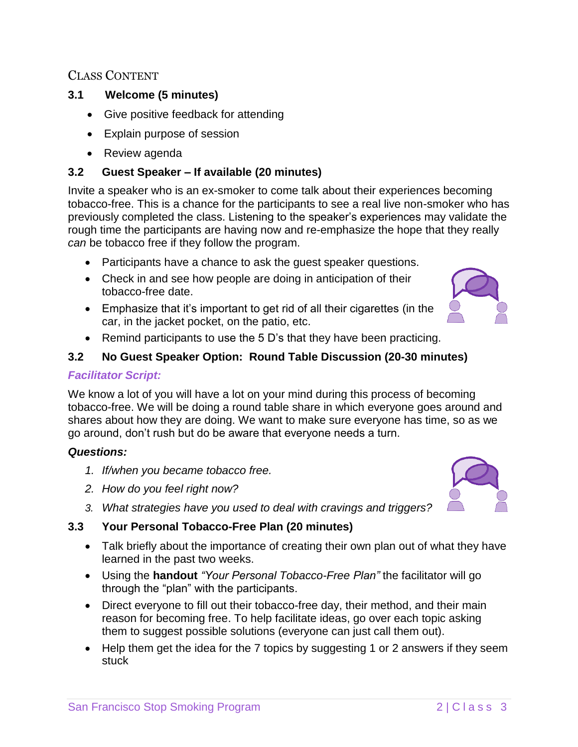## CLASS CONTENT

#### **3.1 Welcome (5 minutes)**

- Give positive feedback for attending
- Explain purpose of session
- Review agenda

#### **3.2 Guest Speaker – If available (20 minutes)**

Invite a speaker who is an ex-smoker to come talk about their experiences becoming tobacco-free. This is a chance for the participants to see a real live non-smoker who has previously completed the class. Listening to the speaker's experiences may validate the rough time the participants are having now and re-emphasize the hope that they really *can* be tobacco free if they follow the program.

- Participants have a chance to ask the guest speaker questions.
- Check in and see how people are doing in anticipation of their tobacco-free date.
- Emphasize that it's important to get rid of all their cigarettes (in the car, in the jacket pocket, on the patio, etc.



• Remind participants to use the 5 D's that they have been practicing.

#### **3.2 No Guest Speaker Option: Round Table Discussion (20-30 minutes)**

#### *Facilitator Script:*

We know a lot of you will have a lot on your mind during this process of becoming tobacco-free. We will be doing a round table share in which everyone goes around and shares about how they are doing. We want to make sure everyone has time, so as we go around, don't rush but do be aware that everyone needs a turn.

#### *Questions:*

- *1. If/when you became tobacco free.*
- *2. How do you feel right now?*
- *3. What strategies have you used to deal with cravings and triggers?*

#### **3.3 Your Personal Tobacco-Free Plan (20 minutes)**

- Talk briefly about the importance of creating their own plan out of what they have learned in the past two weeks.
- Using the **handout** *"Your Personal Tobacco-Free Plan"* the facilitator will go through the "plan" with the participants.
- Direct everyone to fill out their tobacco-free day, their method, and their main reason for becoming free. To help facilitate ideas, go over each topic asking them to suggest possible solutions (everyone can just call them out).
- Help them get the idea for the 7 topics by suggesting 1 or 2 answers if they seem stuck

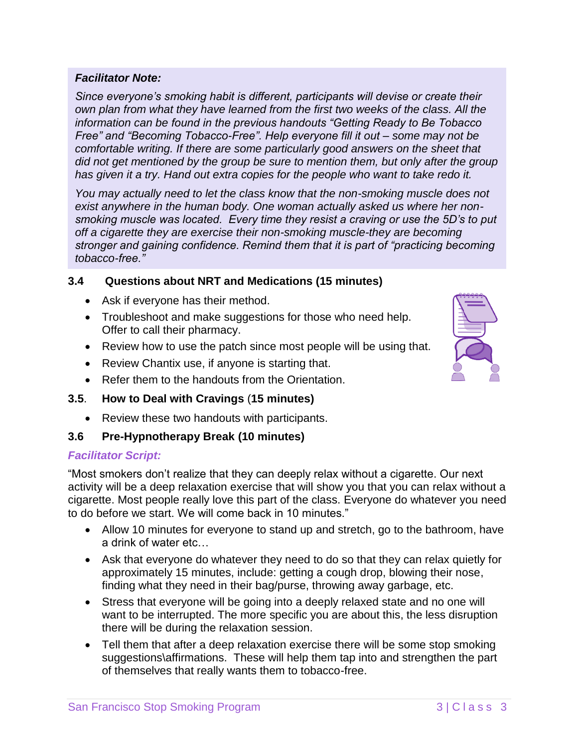#### *Facilitator Note:*

*Since everyone's smoking habit is different, participants will devise or create their own plan from what they have learned from the first two weeks of the class. All the information can be found in the previous handouts "Getting Ready to Be Tobacco Free" and "Becoming Tobacco-Free". Help everyone fill it out – some may not be comfortable writing. If there are some particularly good answers on the sheet that did not get mentioned by the group be sure to mention them, but only after the group has given it a try. Hand out extra copies for the people who want to take redo it.*

*You may actually need to let the class know that the non-smoking muscle does not exist anywhere in the human body. One woman actually asked us where her nonsmoking muscle was located. Every time they resist a craving or use the 5D's to put off a cigarette they are exercise their non-smoking muscle-they are becoming stronger and gaining confidence. Remind them that it is part of "practicing becoming tobacco-free."* 

#### **3.4 Questions about NRT and Medications (15 minutes)**

- Ask if everyone has their method.
- Troubleshoot and make suggestions for those who need help. Offer to call their pharmacy.
- Review how to use the patch since most people will be using that.
- Review Chantix use, if anyone is starting that.
- Refer them to the handouts from the Orientation.

#### **3.5**. **How to Deal with Cravings** (**15 minutes)**

• Review these two handouts with participants.

#### **3.6 Pre-Hypnotherapy Break (10 minutes)**

#### *Facilitator Script:*

"Most smokers don't realize that they can deeply relax without a cigarette. Our next activity will be a deep relaxation exercise that will show you that you can relax without a cigarette. Most people really love this part of the class. Everyone do whatever you need to do before we start. We will come back in 10 minutes."

- Allow 10 minutes for everyone to stand up and stretch, go to the bathroom, have a drink of water etc…
- Ask that everyone do whatever they need to do so that they can relax quietly for approximately 15 minutes, include: getting a cough drop, blowing their nose, finding what they need in their bag/purse, throwing away garbage, etc.
- Stress that everyone will be going into a deeply relaxed state and no one will want to be interrupted. The more specific you are about this, the less disruption there will be during the relaxation session.
- Tell them that after a deep relaxation exercise there will be some stop smoking suggestions\affirmations. These will help them tap into and strengthen the part of themselves that really wants them to tobacco-free.

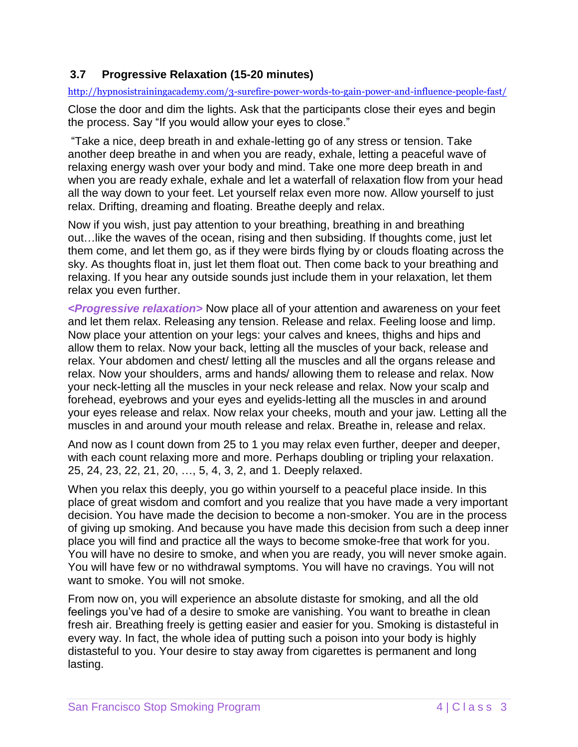### **3.7 Progressive Relaxation (15-20 minutes)**

<http://hypnosistrainingacademy.com/3-surefire-power-words-to-gain-power-and-influence-people-fast/>

Close the door and dim the lights. Ask that the participants close their eyes and begin the process. Say "If you would allow your eyes to close."

"Take a nice, deep breath in and exhale-letting go of any stress or tension. Take another deep breathe in and when you are ready, exhale, letting a peaceful wave of relaxing energy wash over your body and mind. Take one more deep breath in and when you are ready exhale, exhale and let a waterfall of relaxation flow from your head all the way down to your feet. Let yourself relax even more now. Allow yourself to just relax. Drifting, dreaming and floating. Breathe deeply and relax.

Now if you wish, just pay attention to your breathing, breathing in and breathing out…like the waves of the ocean, rising and then subsiding. If thoughts come, just let them come, and let them go, as if they were birds flying by or clouds floating across the sky. As thoughts float in, just let them float out. Then come back to your breathing and relaxing. If you hear any outside sounds just include them in your relaxation, let them relax you even further.

*<Progressive relaxation>* Now place all of your attention and awareness on your feet and let them relax. Releasing any tension. Release and relax. Feeling loose and limp. Now place your attention on your legs: your calves and knees, thighs and hips and allow them to relax. Now your back, letting all the muscles of your back, release and relax. Your abdomen and chest/ letting all the muscles and all the organs release and relax. Now your shoulders, arms and hands/ allowing them to release and relax. Now your neck-letting all the muscles in your neck release and relax. Now your scalp and forehead, eyebrows and your eyes and eyelids-letting all the muscles in and around your eyes release and relax. Now relax your cheeks, mouth and your jaw. Letting all the muscles in and around your mouth release and relax. Breathe in, release and relax.

And now as I count down from 25 to 1 you may relax even further, deeper and deeper, with each count relaxing more and more. Perhaps doubling or tripling your relaxation. 25, 24, 23, 22, 21, 20, …, 5, 4, 3, 2, and 1. Deeply relaxed.

When you relax this deeply, you go within yourself to a peaceful place inside. In this place of great wisdom and comfort and you realize that you have made a very important decision. You have made the decision to become a non-smoker. You are in the process of giving up smoking. And because you have made this decision from such a deep inner place you will find and practice all the ways to become smoke-free that work for you. You will have no desire to smoke, and when you are ready, you will never smoke again. You will have few or no withdrawal symptoms. You will have no cravings. You will not want to smoke. You will not smoke.

From now on, you will experience an absolute distaste for smoking, and all the old feelings you've had of a desire to smoke are vanishing. You want to breathe in clean fresh air. Breathing freely is getting easier and easier for you. Smoking is distasteful in every way. In fact, the whole idea of putting such a poison into your body is highly distasteful to you. Your desire to stay away from cigarettes is permanent and long lasting.